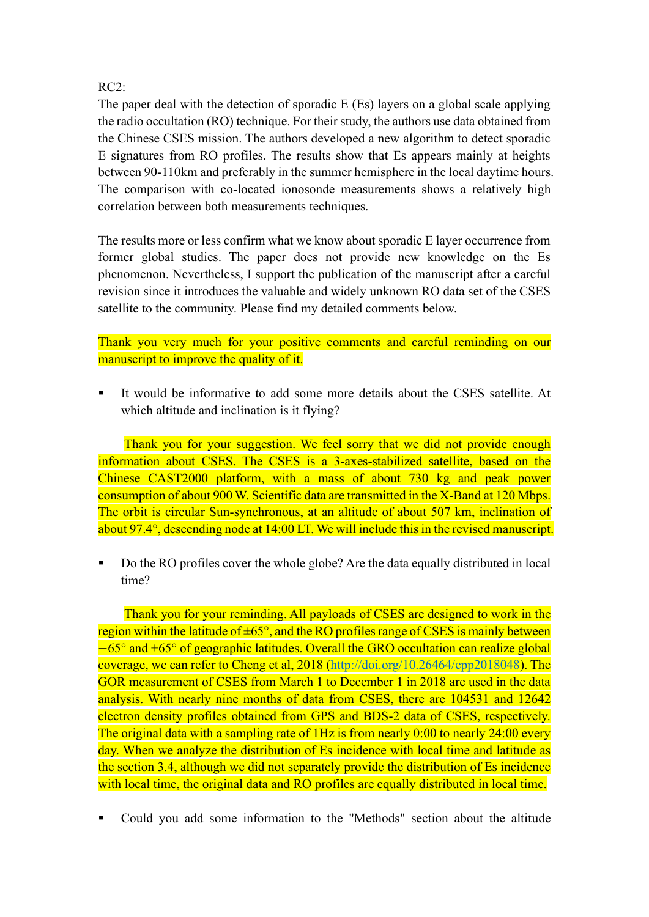## RC2:

The paper deal with the detection of sporadic E (Es) layers on a global scale applying the radio occultation (RO) technique. For their study, the authors use data obtained from the Chinese CSES mission. The authors developed a new algorithm to detect sporadic E signatures from RO profiles. The results show that Es appears mainly at heights between 90-110km and preferably in the summer hemisphere in the local daytime hours. The comparison with co-located ionosonde measurements shows a relatively high correlation between both measurements techniques.

The results more or less confirm what we know about sporadic E layer occurrence from former global studies. The paper does not provide new knowledge on the Es phenomenon. Nevertheless, I support the publication of the manuscript after a careful revision since it introduces the valuable and widely unknown RO data set of the CSES satellite to the community. Please find my detailed comments below.

Thank you very much for your positive comments and careful reminding on our manuscript to improve the quality of it.

It would be informative to add some more details about the CSES satellite. At which altitude and inclination is it flying?

Thank you for your suggestion. We feel sorry that we did not provide enough information about CSES. The CSES is a 3-axes-stabilized satellite, based on the Chinese CAST2000 platform, with a mass of about 730 kg and peak power consumption of about 900 W. Scientific data are transmitted in the X-Band at 120 Mbps. The orbit is circular Sun-synchronous, at an altitude of about 507 km, inclination of about 97.4°, descending node at 14:00 LT. We will include this in the revised manuscript.

Do the RO profiles cover the whole globe? Are the data equally distributed in local time?

Thank you for your reminding. All payloads of CSES are designed to work in the region within the latitude of  $\pm 65^{\circ}$ , and the RO profiles range of CSES is mainly between −65° and +65° of geographic latitudes. Overall the GRO occultation can realize global coverage, we can refer to Cheng et al, 2018 [\(http://doi.org/10.26464/epp2018048\)](http://doi.org/10.26464/epp2018048). The GOR measurement of CSES from March 1 to December 1 in 2018 are used in the data analysis. With nearly nine months of data from CSES, there are 104531 and 12642 electron density profiles obtained from GPS and BDS-2 data of CSES, respectively. The original data with a sampling rate of 1Hz is from nearly 0:00 to nearly 24:00 every day. When we analyze the distribution of Es incidence with local time and latitude as the section 3.4, although we did not separately provide the distribution of Es incidence with local time, the original data and RO profiles are equally distributed in local time.

Could you add some information to the "Methods" section about the altitude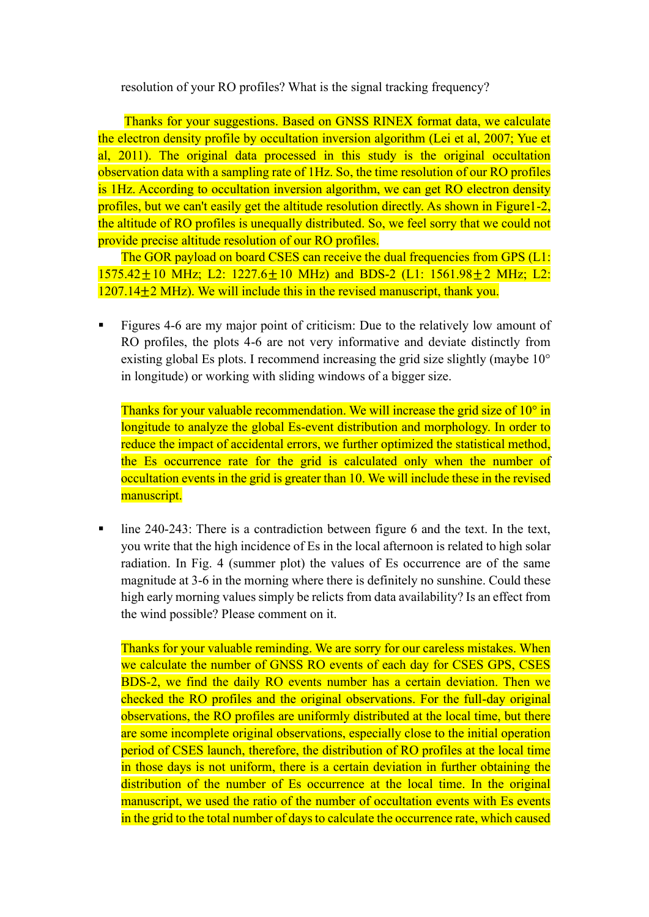resolution of your RO profiles? What is the signal tracking frequency?

Thanks for your suggestions. Based on GNSS RINEX format data, we calculate the electron density profile by occultation inversion algorithm (Lei et al, 2007; Yue et al, 2011). The original data processed in this study is the original occultation observation data with a sampling rate of 1Hz. So, the time resolution of our RO profiles is 1Hz. According to occultation inversion algorithm, we can get RO electron density profiles, but we can't easily get the altitude resolution directly. As shown in Figure1-2, the altitude of RO profiles is unequally distributed. So, we feel sorry that we could not provide precise altitude resolution of our RO profiles.

The GOR payload on board CSES can receive the dual frequencies from GPS (L1:  $1575.42+10$  MHz; L2:  $1227.6+10$  MHz) and BDS-2 (L1:  $1561.98+2$  MHz; L2:  $1207.14\pm2$  MHz). We will include this in the revised manuscript, thank you.

**Example 1** Figures 4-6 are my major point of criticism: Due to the relatively low amount of RO profiles, the plots 4-6 are not very informative and deviate distinctly from existing global Es plots. I recommend increasing the grid size slightly (maybe 10° in longitude) or working with sliding windows of a bigger size.

Thanks for your valuable recommendation. We will increase the grid size of  $10^{\circ}$  in longitude to analyze the global Es‑event distribution and morphology. In order to reduce the impact of accidental errors, we further optimized the statistical method, the Es occurrence rate for the grid is calculated only when the number of occultation events in the grid is greater than 10. We will include these in the revised manuscript.

■ line 240-243: There is a contradiction between figure 6 and the text. In the text, you write that the high incidence of Es in the local afternoon is related to high solar radiation. In Fig. 4 (summer plot) the values of Es occurrence are of the same magnitude at 3-6 in the morning where there is definitely no sunshine. Could these high early morning values simply be relicts from data availability? Is an effect from the wind possible? Please comment on it.

Thanks for your valuable reminding. We are sorry for our careless mistakes. When we calculate the number of GNSS RO events of each day for CSES GPS, CSES BDS-2, we find the daily RO events number has a certain deviation. Then we checked the RO profiles and the original observations. For the full-day original observations, the RO profiles are uniformly distributed at the local time, but there are some incomplete original observations, especially close to the initial operation period of CSES launch, therefore, the distribution of RO profiles at the local time in those days is not uniform, there is a certain deviation in further obtaining the distribution of the number of Es occurrence at the local time. In the original manuscript, we used the ratio of the number of occultation events with Es events in the grid to the total number of days to calculate the occurrence rate, which caused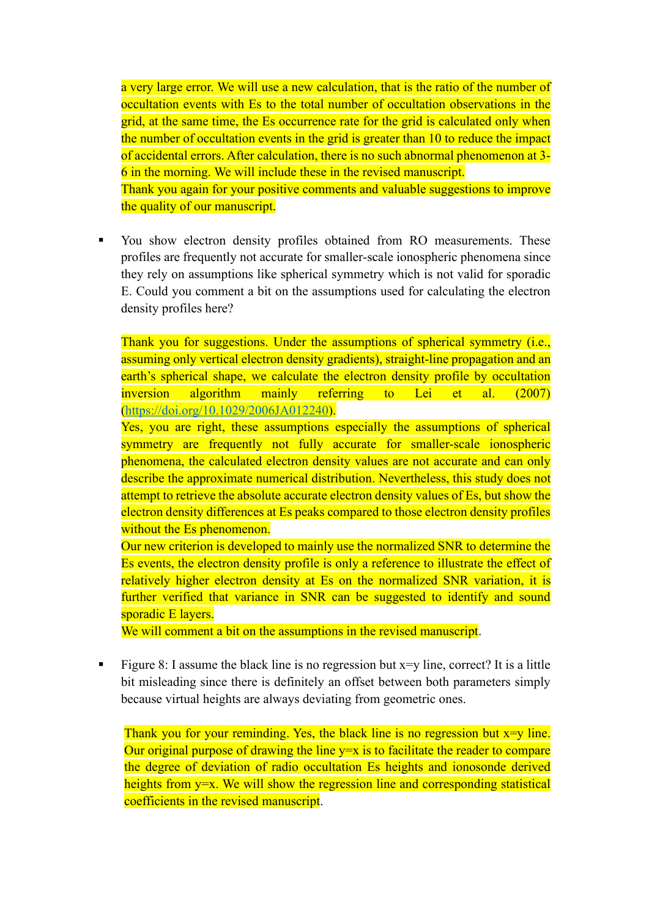a very large error. We will use a new calculation, that is the ratio of the number of occultation events with Es to the total number of occultation observations in the grid, at the same time, the Es occurrence rate for the grid is calculated only when the number of occultation events in the grid is greater than 10 to reduce the impact of accidental errors. After calculation, there is no such abnormal phenomenon at 3- 6 in the morning. We will include these in the revised manuscript.

Thank you again for your positive comments and valuable suggestions to improve the quality of our manuscript.

▪ You show electron density profiles obtained from RO measurements. These profiles are frequently not accurate for smaller-scale ionospheric phenomena since they rely on assumptions like spherical symmetry which is not valid for sporadic E. Could you comment a bit on the assumptions used for calculating the electron density profiles here?

Thank you for suggestions. Under the assumptions of spherical symmetry (i.e., assuming only vertical electron density gradients), straight-line propagation and an earth's spherical shape, we calculate the electron density profile by occultation inversion algorithm mainly referring to Lei et al. (2007) [\(https://doi.org/10.1029/2006JA012240\)](https://doi.org/10.1029/2006JA012240).

Yes, you are right, these assumptions especially the assumptions of spherical symmetry are frequently not fully accurate for smaller-scale ionospheric phenomena, the calculated electron density values are not accurate and can only describe the approximate numerical distribution. Nevertheless, this study does not attempt to retrieve the absolute accurate electron density values of Es, but show the electron density differences at Es peaks compared to those electron density profiles without the Es phenomenon.

Our new criterion is developed to mainly use the normalized SNR to determine the Es events, the electron density profile is only a reference to illustrate the effect of relatively higher electron density at Es on the normalized SNR variation, it is further verified that variance in SNR can be suggested to identify and sound sporadic E lavers.

We will comment a bit on the assumptions in the revised manuscript.

Figure 8: I assume the black line is no regression but  $x=y$  line, correct? It is a little bit misleading since there is definitely an offset between both parameters simply because virtual heights are always deviating from geometric ones.

Thank you for your reminding. Yes, the black line is no regression but  $x=y$  line. Our original purpose of drawing the line  $y=x$  is to facilitate the reader to compare the degree of deviation of radio occultation Es heights and ionosonde derived heights from  $y=x$ . We will show the regression line and corresponding statistical coefficients in the revised manuscript.